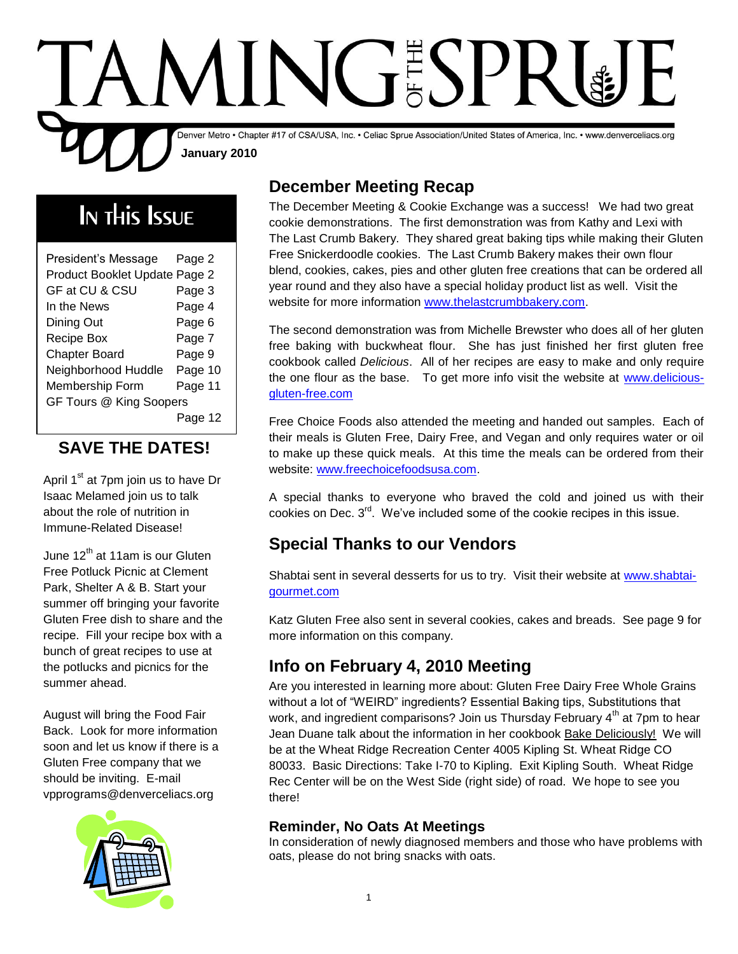

# In this Issue

| President's Message           | Page 2  |
|-------------------------------|---------|
|                               |         |
| Product Booklet Update Page 2 |         |
| GF at CU & CSU                | Page 3  |
| In the News                   | Page 4  |
| Dining Out                    | Page 6  |
| Recipe Box                    | Page 7  |
| <b>Chapter Board</b>          | Page 9  |
| Neighborhood Huddle           | Page 10 |
| Membership Form               | Page 11 |
| GF Tours @ King Soopers       |         |
|                               | Page 12 |

### **SAVE THE DATES!**

April  $1<sup>st</sup>$  at 7pm join us to have Dr Isaac Melamed join us to talk about the role of nutrition in Immune-Related Disease!

June  $12<sup>th</sup>$  at 11am is our Gluten Free Potluck Picnic at Clement Park, Shelter A & B. Start your summer off bringing your favorite Gluten Free dish to share and the recipe. Fill your recipe box with a bunch of great recipes to use at the potlucks and picnics for the summer ahead.

August will bring the Food Fair Back. Look for more information soon and let us know if there is a Gluten Free company that we should be inviting. E-mail vpprograms@denverceliacs.org



### **December Meeting Recap**

The December Meeting & Cookie Exchange was a success! We had two great cookie demonstrations. The first demonstration was from Kathy and Lexi with The Last Crumb Bakery. They shared great baking tips while making their Gluten Free Snickerdoodle cookies. The Last Crumb Bakery makes their own flour blend, cookies, cakes, pies and other gluten free creations that can be ordered all year round and they also have a special holiday product list as well. Visit the website for more information [www.thelastcrumbbakery.com.](http://www.thelastcrumbbakery.com/)

The second demonstration was from Michelle Brewster who does all of her gluten free baking with buckwheat flour. She has just finished her first gluten free cookbook called *Delicious*. All of her recipes are easy to make and only require the one flour as the base. To get more info visit the website at [www.delicious](http://www.delicious-gluten-free.com/)[gluten-free.com](http://www.delicious-gluten-free.com/)

Free Choice Foods also attended the meeting and handed out samples. Each of their meals is Gluten Free, Dairy Free, and Vegan and only requires water or oil to make up these quick meals. At this time the meals can be ordered from their website: [www.freechoicefoodsusa.com.](http://www.freechoicefoodsusa.com/)

A special thanks to everyone who braved the cold and joined us with their cookies on Dec. 3<sup>rd</sup>. We've included some of the cookie recipes in this issue.

### **Special Thanks to our Vendors**

Shabtai sent in several desserts for us to try. Visit their website at [www.shabtai](http://www.shabtai-gourmet.com/)[gourmet.com](http://www.shabtai-gourmet.com/)

Katz Gluten Free also sent in several cookies, cakes and breads. See page 9 for more information on this company.

### **Info on February 4, 2010 Meeting**

Are you interested in learning more about: Gluten Free Dairy Free Whole Grains without a lot of "WEIRD" ingredients? Essential Baking tips, Substitutions that work, and ingredient comparisons? Join us Thursday February 4<sup>th</sup> at 7pm to hear Jean Duane talk about the information in her cookbook Bake Deliciously! We will be at the Wheat Ridge Recreation Center 4005 Kipling St. Wheat Ridge CO 80033. Basic Directions: Take I-70 to Kipling. Exit Kipling South. Wheat Ridge Rec Center will be on the West Side (right side) of road. We hope to see you there!

#### **Reminder, No Oats At Meetings**

In consideration of newly diagnosed members and those who have problems with oats, please do not bring snacks with oats.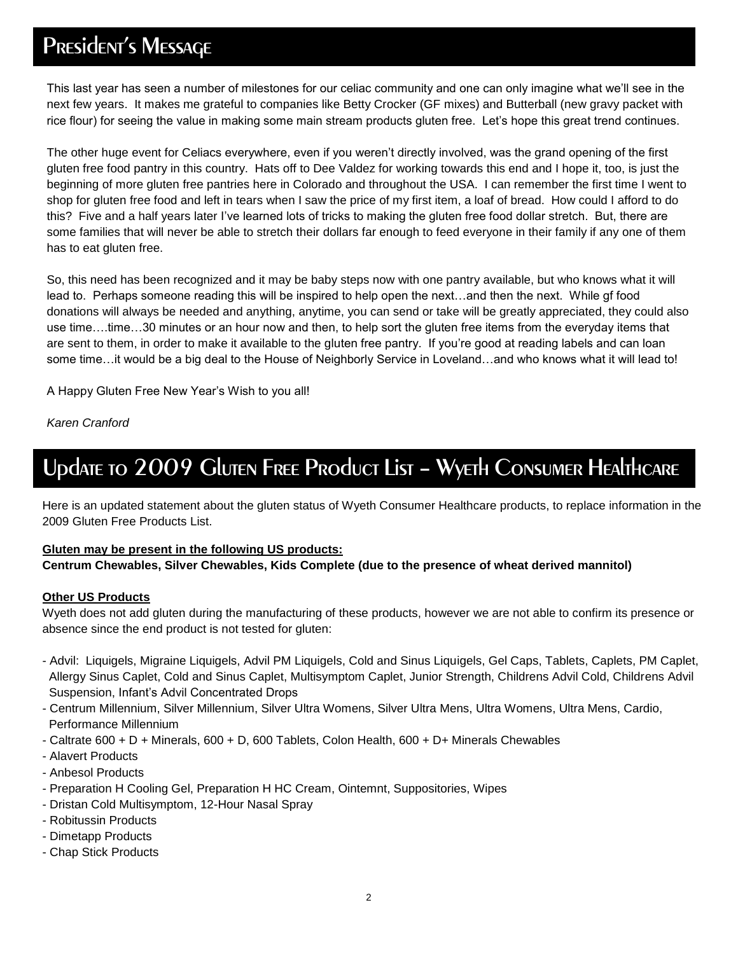## PRESidENT'S MESSAGE

This last year has seen a number of milestones for our celiac community and one can only imagine what we'll see in the next few years. It makes me grateful to companies like Betty Crocker (GF mixes) and Butterball (new gravy packet with rice flour) for seeing the value in making some main stream products gluten free. Let's hope this great trend continues.

The other huge event for Celiacs everywhere, even if you weren't directly involved, was the grand opening of the first gluten free food pantry in this country. Hats off to Dee Valdez for working towards this end and I hope it, too, is just the beginning of more gluten free pantries here in Colorado and throughout the USA. I can remember the first time I went to shop for gluten free food and left in tears when I saw the price of my first item, a loaf of bread. How could I afford to do this? Five and a half years later I've learned lots of tricks to making the gluten free food dollar stretch. But, there are some families that will never be able to stretch their dollars far enough to feed everyone in their family if any one of them has to eat gluten free.

So, this need has been recognized and it may be baby steps now with one pantry available, but who knows what it will lead to. Perhaps someone reading this will be inspired to help open the next…and then the next. While gf food donations will always be needed and anything, anytime, you can send or take will be greatly appreciated, they could also use time….time…30 minutes or an hour now and then, to help sort the gluten free items from the everyday items that are sent to them, in order to make it available to the gluten free pantry. If you're good at reading labels and can loan some time...it would be a big deal to the House of Neighborly Service in Loveland...and who knows what it will lead to!

A Happy Gluten Free New Year's Wish to you all!

*Karen Cranford*

## Update to 2009 Gluten Free Product List – Wyeth Consumer Healthcare

Here is an updated statement about the gluten status of Wyeth Consumer Healthcare products, to replace information in the 2009 Gluten Free Products List.

#### **Gluten may be present in the following US products:**

#### **Centrum Chewables, Silver Chewables, Kids Complete (due to the presence of wheat derived mannitol)**

#### **Other US Products**

Wyeth does not add gluten during the manufacturing of these products, however we are not able to confirm its presence or absence since the end product is not tested for gluten:

- Advil: Liquigels, Migraine Liquigels, Advil PM Liquigels, Cold and Sinus Liquigels, Gel Caps, Tablets, Caplets, PM Caplet, Allergy Sinus Caplet, Cold and Sinus Caplet, Multisymptom Caplet, Junior Strength, Childrens Advil Cold, Childrens Advil Suspension, Infant's Advil Concentrated Drops
- Centrum Millennium, Silver Millennium, Silver Ultra Womens, Silver Ultra Mens, Ultra Womens, Ultra Mens, Cardio, Performance Millennium
- Caltrate 600 + D + Minerals, 600 + D, 600 Tablets, Colon Health, 600 + D+ Minerals Chewables
- Alavert Products
- Anbesol Products
- Preparation H Cooling Gel, Preparation H HC Cream, Ointemnt, Suppositories, Wipes
- Dristan Cold Multisymptom, 12-Hour Nasal Spray
- Robitussin Products
- Dimetapp Products
- Chap Stick Products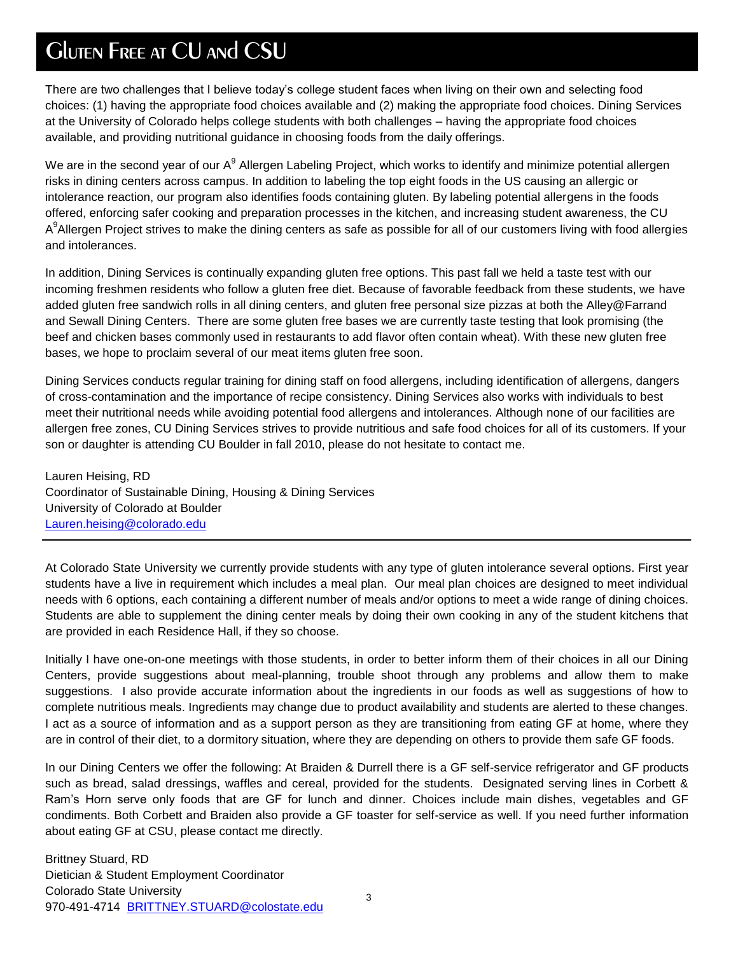## Gluten Free at CU and CSU

There are two challenges that I believe today's college student faces when living on their own and selecting food choices: (1) having the appropriate food choices available and (2) making the appropriate food choices. Dining Services at the University of Colorado helps college students with both challenges – having the appropriate food choices available, and providing nutritional guidance in choosing foods from the daily offerings.

We are in the second year of our A $^9$  Allergen Labeling Project, which works to identify and minimize potential allergen risks in dining centers across campus. In addition to labeling the top eight foods in the US causing an allergic or intolerance reaction, our program also identifies foods containing gluten. By labeling potential allergens in the foods offered, enforcing safer cooking and preparation processes in the kitchen, and increasing student awareness, the CU A<sup>9</sup>Allergen Project strives to make the dining centers as safe as possible for all of our customers living with food allergies and intolerances.

In addition, Dining Services is continually expanding gluten free options. This past fall we held a taste test with our incoming freshmen residents who follow a gluten free diet. Because of favorable feedback from these students, we have added gluten free sandwich rolls in all dining centers, and gluten free personal size pizzas at both the Alley@Farrand and Sewall Dining Centers. There are some gluten free bases we are currently taste testing that look promising (the beef and chicken bases commonly used in restaurants to add flavor often contain wheat). With these new gluten free bases, we hope to proclaim several of our meat items gluten free soon.

Dining Services conducts regular training for dining staff on food allergens, including identification of allergens, dangers of cross-contamination and the importance of recipe consistency. Dining Services also works with individuals to best meet their nutritional needs while avoiding potential food allergens and intolerances. Although none of our facilities are allergen free zones, CU Dining Services strives to provide nutritious and safe food choices for all of its customers. If your son or daughter is attending CU Boulder in fall 2010, please do not hesitate to contact me.

Lauren Heising, RD Coordinator of Sustainable Dining, Housing & Dining Services University of Colorado at Boulder [Lauren.heising@colorado.edu](mailto:Lauren.heising@colorado.edu)

At Colorado State University we currently provide students with any type of gluten intolerance several options. First year students have a live in requirement which includes a meal plan. Our meal plan choices are designed to meet individual needs with 6 options, each containing a different number of meals and/or options to meet a wide range of dining choices. Students are able to supplement the dining center meals by doing their own cooking in any of the student kitchens that are provided in each Residence Hall, if they so choose.

Initially I have one-on-one meetings with those students, in order to better inform them of their choices in all our Dining Centers, provide suggestions about meal-planning, trouble shoot through any problems and allow them to make suggestions. I also provide accurate information about the ingredients in our foods as well as suggestions of how to complete nutritious meals. Ingredients may change due to product availability and students are alerted to these changes. I act as a source of information and as a support person as they are transitioning from eating GF at home, where they are in control of their diet, to a dormitory situation, where they are depending on others to provide them safe GF foods.

In our Dining Centers we offer the following: At Braiden & Durrell there is a GF self-service refrigerator and GF products such as bread, salad dressings, waffles and cereal, provided for the students. Designated serving lines in Corbett & Ram's Horn serve only foods that are GF for lunch and dinner. Choices include main dishes, vegetables and GF condiments. Both Corbett and Braiden also provide a GF toaster for self-service as well. If you need further information about eating GF at CSU, please contact me directly.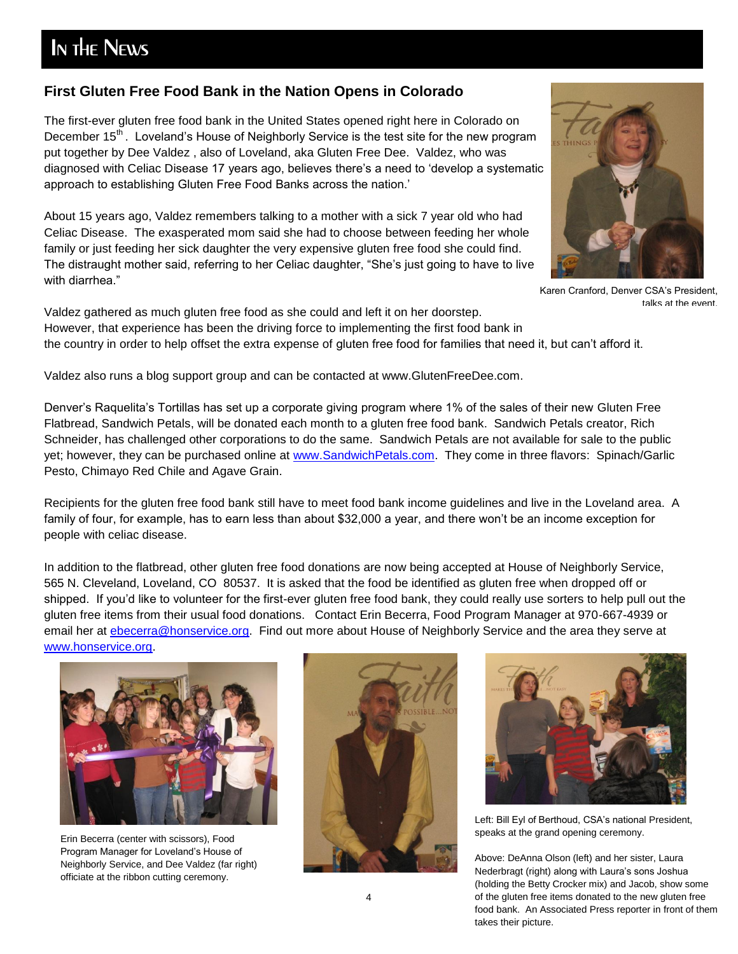## In the News

#### **First Gluten Free Food Bank in the Nation Opens in Colorado**

The first-ever gluten free food bank in the United States opened right here in Colorado on December 15<sup>th</sup>. Loveland's House of Neighborly Service is the test site for the new program put together by Dee Valdez , also of Loveland, aka Gluten Free Dee. Valdez, who was diagnosed with Celiac Disease 17 years ago, believes there's a need to 'develop a systematic approach to establishing Gluten Free Food Banks across the nation.'

About 15 years ago, Valdez remembers talking to a mother with a sick 7 year old who had Celiac Disease. The exasperated mom said she had to choose between feeding her whole family or just feeding her sick daughter the very expensive gluten free food she could find. The distraught mother said, referring to her Celiac daughter, "She's just going to have to live with diarrhea."



Karen Cranford, Denver CSA's President, talks at the event.

Valdez gathered as much gluten free food as she could and left it on her doorstep. However, that experience has been the driving force to implementing the first food bank in the country in order to help offset the extra expense of gluten free food for families that need it, but can't afford it.

Valdez also runs a blog support group and can be contacted at www.GlutenFreeDee.com.

Denver's Raquelita's Tortillas has set up a corporate giving program where 1% of the sales of their new Gluten Free Flatbread, Sandwich Petals, will be donated each month to a gluten free food bank. Sandwich Petals creator, Rich Schneider, has challenged other corporations to do the same. Sandwich Petals are not available for sale to the public yet; however, they can be purchased online at [www.SandwichPetals.com.](http://www.sandwichpetals.com/) They come in three flavors: Spinach/Garlic Pesto, Chimayo Red Chile and Agave Grain.

Recipients for the gluten free food bank still have to meet food bank income guidelines and live in the Loveland area. A family of four, for example, has to earn less than about \$32,000 a year, and there won't be an income exception for people with celiac disease.

In addition to the flatbread, other gluten free food donations are now being accepted at House of Neighborly Service, 565 N. Cleveland, Loveland, CO 80537. It is asked that the food be identified as gluten free when dropped off or shipped. If you'd like to volunteer for the first-ever gluten free food bank, they could really use sorters to help pull out the gluten free items from their usual food donations. Contact Erin Becerra, Food Program Manager at 970-667-4939 or email her at [ebecerra@honservice.org.](mailto:ebecerra@honservice.org) Find out more about House of Neighborly Service and the area they serve at [www.honservice.org.](http://www.honservice.org/)



Erin Becerra (center with scissors), Food Program Manager for Loveland's House of Neighborly Service, and Dee Valdez (far right) officiate at the ribbon cutting ceremony.





Left: Bill Eyl of Berthoud, CSA's national President, speaks at the grand opening ceremony.

Above: DeAnna Olson (left) and her sister, Laura Nederbragt (right) along with Laura's sons Joshua (holding the Betty Crocker mix) and Jacob, show some of the gluten free items donated to the new gluten free food bank. An Associated Press reporter in front of them takes their picture.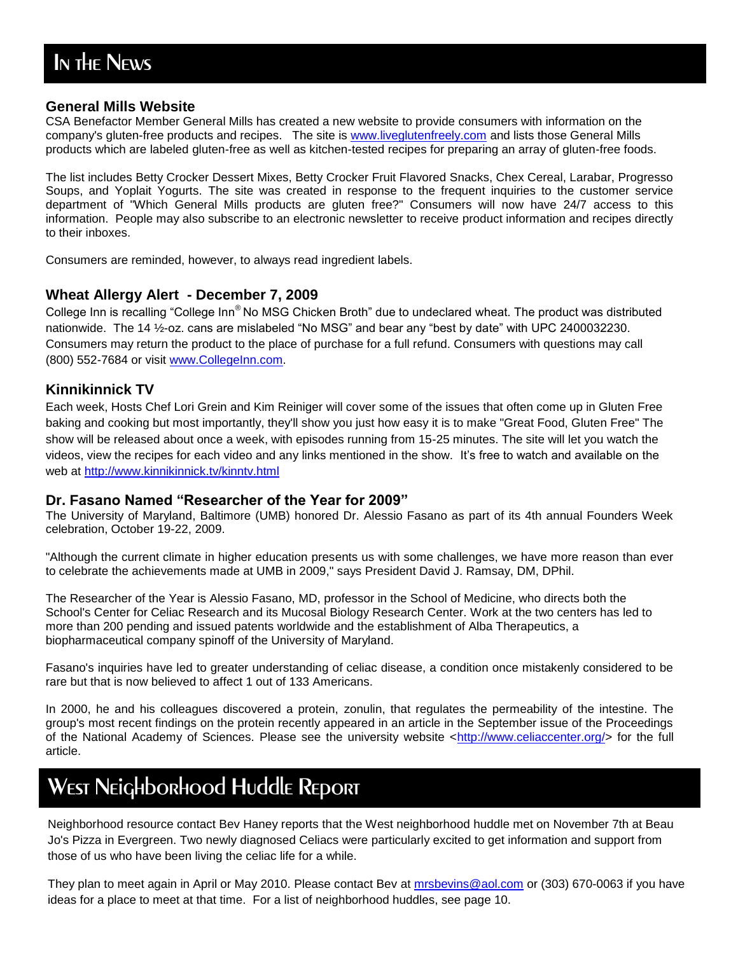#### **General Mills Website**

CSA Benefactor Member General Mills has created a new website to provide consumers with information on the company's gluten-free products and recipes. The site is [www.liveglutenfreely.com](http://www.liveglutenfreely.com/) and lists those General Mills products which are labeled gluten-free as well as kitchen-tested recipes for preparing an array of gluten-free foods.

The list includes Betty Crocker Dessert Mixes, Betty Crocker Fruit Flavored Snacks, Chex Cereal, Larabar, Progresso Soups, and Yoplait Yogurts. The site was created in response to the frequent inquiries to the customer service department of "Which General Mills products are gluten free?" Consumers will now have 24/7 access to this information. People may also subscribe to an electronic newsletter to receive product information and recipes directly to their inboxes.

Consumers are reminded, however, to always read ingredient labels.

#### **Wheat Allergy Alert - December 7, 2009**

College Inn is recalling "College Inn<sup>®</sup> No MSG Chicken Broth" due to undeclared wheat. The product was distributed nationwide. The 14 1/2-oz. cans are mislabeled "No MSG" and bear any "best by date" with UPC 2400032230. Consumers may return the product to the place of purchase for a full refund. Consumers with questions may call (800) 552-7684 or visit [www.CollegeInn.com.](http://www.collegeinn.com/)

#### **Kinnikinnick TV**

Each week, Hosts Chef Lori Grein and Kim Reiniger will cover some of the issues that often come up in Gluten Free baking and cooking but most importantly, they'll show you just how easy it is to make "Great Food, Gluten Free" The show will be released about once a week, with episodes running from 15-25 minutes. The site will let you watch the videos, view the recipes for each video and any links mentioned in the show. It's free to watch and available on the web at<http://www.kinnikinnick.tv/kinntv.html>

#### **Dr. Fasano Named "Researcher of the Year for 2009"**

The University of Maryland, Baltimore (UMB) honored Dr. Alessio Fasano as part of its 4th annual Founders Week celebration, October 19-22, 2009.

"Although the current climate in higher education presents us with some challenges, we have more reason than ever to celebrate the achievements made at UMB in 2009," says President David J. Ramsay, DM, DPhil.

The Researcher of the Year is Alessio Fasano, MD, professor in the School of Medicine, who directs both the School's Center for Celiac Research and its Mucosal Biology Research Center. Work at the two centers has led to more than 200 pending and issued patents worldwide and the establishment of Alba Therapeutics, a biopharmaceutical company spinoff of the University of Maryland.

Fasano's inquiries have led to greater understanding of celiac disease, a condition once mistakenly considered to be rare but that is now believed to affect 1 out of 133 Americans.

In 2000, he and his colleagues discovered a protein, zonulin, that regulates the permeability of the intestine. The group's most recent findings on the protein recently appeared in an article in the September issue of the Proceedings of the National Academy of Sciences. Please see the university website [<http://www.celiaccenter.org/>](http://www.celiaccenter.org/) for the full article.

## West Neighborhood Huddle Report

Neighborhood resource contact Bev Haney reports that the West neighborhood huddle met on November 7th at Beau Jo's Pizza in Evergreen. Two newly diagnosed Celiacs were particularly excited to get information and support from those of us who have been living the celiac life for a while.

ideas for a place to meet at that time. For a list of neighborhood huddles, see page 10. They plan to meet again in April or May 2010. Please contact Bev at [mrsbevins@aol.com](mailto:mrsbevins@aol.com) or (303) 670-0063 if you have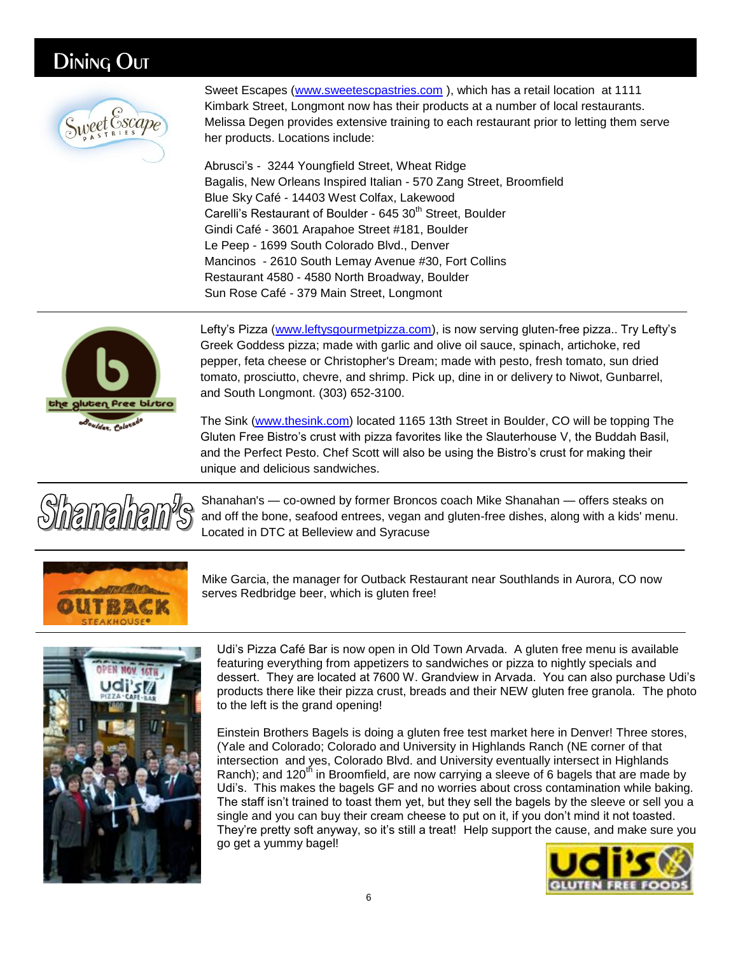### Dining Out



Sweet Escapes [\(www.sweetescpastries.com](http://www.sweetescpastries.com/) ), which has a retail location at 1111 Kimbark Street, Longmont now has their products at a number of local restaurants. Melissa Degen provides extensive training to each restaurant prior to letting them serve her products. Locations include:

Abrusci's - 3244 Youngfield Street, Wheat Ridge Bagalis, New Orleans Inspired Italian - 570 Zang Street, Broomfield Blue Sky Café - 14403 West Colfax, Lakewood Carelli's Restaurant of Boulder - 645 30<sup>th</sup> Street, Boulder Gindi Café - 3601 Arapahoe Street #181, Boulder Le Peep - 1699 South Colorado Blvd., Denver Mancinos - 2610 South Lemay Avenue #30, Fort Collins Restaurant 4580 - 4580 North Broadway, Boulder Sun Rose Café - 379 Main Street, Longmont



Lefty's Pizza [\(www.leftysgourmetpizza.com\)](http://www.leftysgourmetpizza.com/), is now serving gluten-free pizza.. Try Lefty's Greek Goddess pizza; made with garlic and olive oil sauce, spinach, artichoke, red pepper, feta cheese or Christopher's Dream; made with pesto, fresh tomato, sun dried tomato, prosciutto, chevre, and shrimp. Pick up, dine in or delivery to Niwot, Gunbarrel, and South Longmont. (303) 652-3100.

The Sink [\(www.thesink.com\)](http://www.thesink.com/) located 1165 13th Street in Boulder, CO will be topping The Gluten Free Bistro's crust with pizza favorites like the Slauterhouse V, the Buddah Basil, and the Perfect Pesto. Chef Scott will also be using the Bistro's crust for making their unique and delicious sandwiches.



Shanahan's — co-owned by former Broncos coach Mike Shanahan — offers steaks on and off the bone, seafood entrees, vegan and gluten-free dishes, along with a kids' menu. Located in DTC at Belleview and Syracuse



Mike Garcia, the manager for Outback Restaurant near Southlands in Aurora, CO now serves Redbridge beer, which is gluten free!



Udi's Pizza Café Bar is now open in Old Town Arvada. A gluten free menu is available featuring [everything from appetizers to sandwiches or pizza to nightly specials an](http://www.denverpost.com/pennyparker/ci_14031711#ixzz0b2ohMwfL)d dessert. They are located at 7600 W. Grandview in Arvada. You can also purchase Udi's products there like their pizza crust, breads and their NEW gluten free granola. The photo to the left is the grand opening!

Einstein Brothers Bagels is doing a gluten free test market here in Denver! Three stores, (Yale and Colorado; Colorado and University in Highlands Ranch (NE corner of that intersection and yes, Colorado Blvd. and University eventually intersect in Highlands Ranch); and 120<sup>th</sup> in Broomfield, are now carrying a sleeve of 6 bagels that are made by Udi's. This makes the bagels GF and no worries about cross contamination while baking. The staff isn't trained to toast them yet, but they sell the bagels by the sleeve or sell you a single and you can buy their cream cheese to put on it, if you don't mind it not toasted. They're pretty soft anyway, so it's still a treat! Help support the cause, and make sure you go get a yummy bagel!

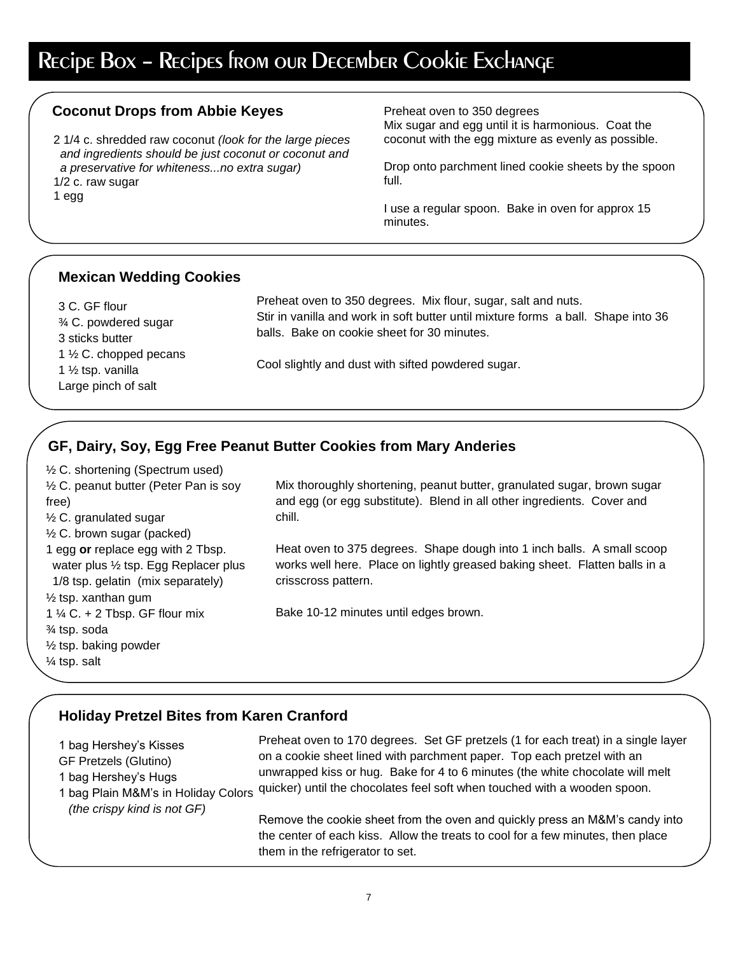## Recipe Box – Recipes from our December Cookie Exchange

#### **Coconut Drops from Abbie Keyes**

2 1/4 c. shredded raw coconut *(look for the large pieces and ingredients should be just coconut or coconut and a preservative for whiteness...no extra sugar)* 1/2 c. raw sugar

Large pinch of salt

1 egg

Preheat oven to 350 degrees

Mix sugar and egg until it is harmonious. Coat the coconut with the egg mixture as evenly as possible.

Drop onto parchment lined cookie sheets by the spoon full.

I use a regular spoon. Bake in oven for approx 15 minutes.

#### **Mexican Wedding Cookies**

| 3 C. GF flour<br>$\frac{3}{4}$ C. powdered sugar                  | Preheat oven to 350 degrees. Mix flour, sugar, salt and nuts.<br>Stir in vanilla and work in soft butter until mixture forms a ball. Shape into 36 |
|-------------------------------------------------------------------|----------------------------------------------------------------------------------------------------------------------------------------------------|
| 3 sticks butter                                                   | balls. Bake on cookie sheet for 30 minutes.                                                                                                        |
| 1 $\frac{1}{2}$ C. chopped pecans<br>1 $\frac{1}{2}$ tsp. vanilla | Cool slightly and dust with sifted powdered sugar.                                                                                                 |

### **GF, Dairy, Soy, Egg Free Peanut Butter Cookies from Mary Anderies**

½ C. shortening (Spectrum used) ½ C. peanut butter (Peter Pan is soy free) ½ C. granulated sugar  $\frac{1}{2}$  C. brown sugar (packed) 1 egg **or** replace egg with 2 Tbsp. water plus ½ tsp. Egg Replacer plus 1/8 tsp. gelatin (mix separately)  $\frac{1}{2}$  tsp. xanthan gum 1  $\frac{1}{4}$  C. + 2 Tbsp. GF flour mix ¾ tsp. soda ½ tsp. baking powder ¼ tsp. salt

Mix thoroughly shortening, peanut butter, granulated sugar, brown sugar and egg (or egg substitute). Blend in all other ingredients. Cover and chill.

Heat oven to 375 degrees. Shape dough into 1 inch balls. A small scoop works well here. Place on lightly greased baking sheet. Flatten balls in a crisscross pattern.

Bake 10-12 minutes until edges brown.

#### **Holiday Pretzel Bites from Karen Cranford**

| 1 bag Hershey's Kisses              | Preheat oven to 170 degrees. Set GF pretzels (1 for each treat) in a single layer                                                                                                                  |
|-------------------------------------|----------------------------------------------------------------------------------------------------------------------------------------------------------------------------------------------------|
| <b>GF Pretzels (Glutino)</b>        | on a cookie sheet lined with parchment paper. Top each pretzel with an                                                                                                                             |
| 1 bag Hershey's Hugs                | unwrapped kiss or hug. Bake for 4 to 6 minutes (the white chocolate will melt                                                                                                                      |
| 1 bag Plain M&M's in Holiday Colors | quicker) until the chocolates feel soft when touched with a wooden spoon.                                                                                                                          |
| (the crispy kind is not GF)         | Remove the cookie sheet from the oven and quickly press an M&M's candy into<br>the center of each kiss. Allow the treats to cool for a few minutes, then place<br>them in the refrigerator to set. |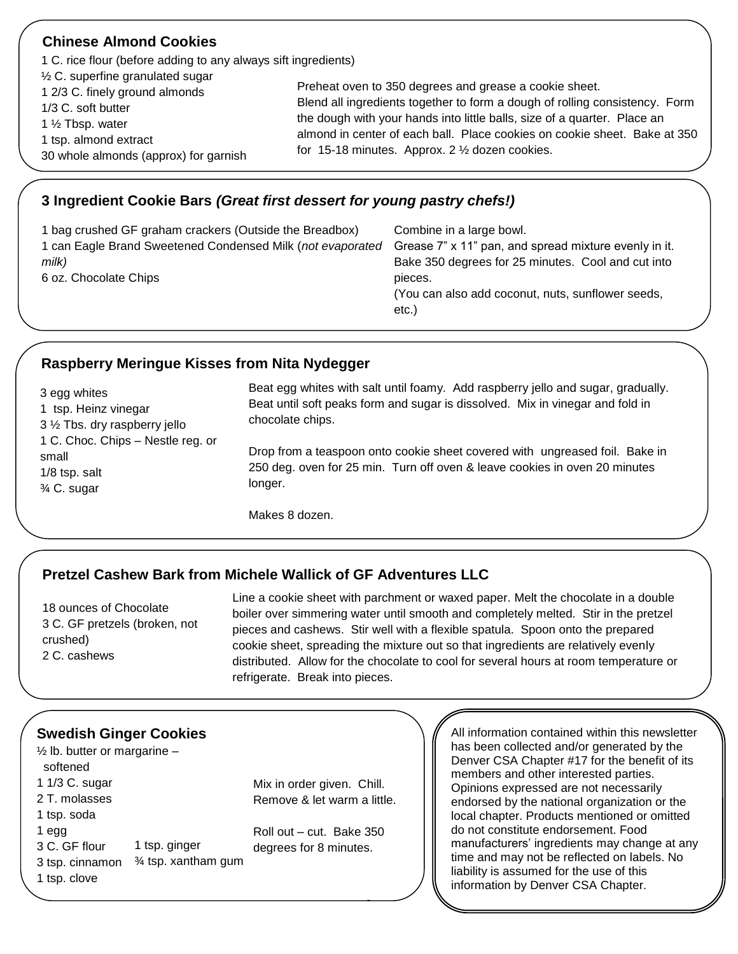| <b>Chinese Almond Cookies</b>                                                                                                                         |                                                                                                                                                                                                                                                                                                                                                   |
|-------------------------------------------------------------------------------------------------------------------------------------------------------|---------------------------------------------------------------------------------------------------------------------------------------------------------------------------------------------------------------------------------------------------------------------------------------------------------------------------------------------------|
| 1 C. rice flour (before adding to any always sift ingredients)<br>$\frac{1}{2}$ C. superfine granulated sugar                                         |                                                                                                                                                                                                                                                                                                                                                   |
| 1 2/3 C. finely ground almonds<br>1/3 C. soft butter<br>1 $\frac{1}{2}$ Tbsp. water<br>1 tsp. almond extract<br>30 whole almonds (approx) for garnish | Preheat oven to 350 degrees and grease a cookie sheet.<br>Blend all ingredients together to form a dough of rolling consistency. Form<br>the dough with your hands into little balls, size of a quarter. Place an<br>almond in center of each ball. Place cookies on cookie sheet. Bake at 350<br>for 15-18 minutes. Approx. 2 1/2 dozen cookies. |
|                                                                                                                                                       |                                                                                                                                                                                                                                                                                                                                                   |

#### **3 Ingredient Cookie Bars** *(Great first dessert for young pastry chefs!)*

| 1 bag crushed GF graham crackers (Outside the Breadbox)<br>1 can Eagle Brand Sweetened Condensed Milk (not evaporated<br>milk)<br>6 oz. Chocolate Chips | Combine in a large bowl.<br>Grease 7" x 11" pan, and spread mixture evenly in it.<br>Bake 350 degrees for 25 minutes. Cool and cut into<br>pieces.<br>(You can also add coconut, nuts, sunflower seeds, |
|---------------------------------------------------------------------------------------------------------------------------------------------------------|---------------------------------------------------------------------------------------------------------------------------------------------------------------------------------------------------------|
|                                                                                                                                                         | etc.                                                                                                                                                                                                    |

#### **Raspberry Meringue Kisses from Nita Nydegger**

| 3 egg whites                      |
|-----------------------------------|
| 1 tsp. Heinz vinegar              |
| 3 1/2 Tbs. dry raspberry jello    |
| 1 C. Choc. Chips - Nestle reg. or |
| small                             |
| $1/8$ tsp. salt                   |
| 3⁄4 C. sugar                      |

Beat egg whites with salt until foamy. Add raspberry jello and sugar, gradually. Beat until soft peaks form and sugar is dissolved. Mix in vinegar and fold in chocolate chips.

Drop from a teaspoon onto cookie sheet covered with ungreased foil. Bake in 250 deg. oven for 25 min. Turn off oven & leave cookies in oven 20 minutes longer.

Makes 8 dozen.

### **Pretzel Cashew Bark from Michele Wallick of GF Adventures LLC**

18 ounces of Chocolate 3 C. GF pretzels (broken, not crushed) 2 C. cashews

Line a cookie sheet with parchment or waxed paper. Melt the chocolate in a double boiler over simmering water until smooth and completely melted. Stir in the pretzel pieces and cashews. Stir well with a flexible spatula. Spoon onto the prepared cookie sheet, spreading the mixture out so that ingredients are relatively evenly distributed. Allow for the chocolate to cool for several hours at room temperature or refrigerate. Break into pieces.

### **Swedish Ginger Cookies**

 $\frac{1}{2}$  lb. butter or margarine – softened 1 1/3 C. sugar 2 T. molasses 1 tsp. soda 1 egg 3 C. GF flour 3 tsp. cinnamon <sup>3</sup>/4 tsp. xantham gum 1 tsp. clove  $\sim$  1  $\sim$  10  $\sim$ 1 tsp. ginger

Mix in order given. Chill. Remove & let warm a little.

Roll out – cut. Bake 350 degrees for 8 minutes.

<u>.</u>

All information contained within this newsletter has been collected and/or generated by the Denver CSA Chapter #17 for the benefit of its members and other interested parties. Opinions expressed are not necessarily endorsed by the national organization or the local chapter. Products mentioned or omitted do not constitute endorsement. Food manufacturers' ingredients may change at any time and may not be reflected on labels. No liability is assumed for the use of this information by Denver CSA Chapter.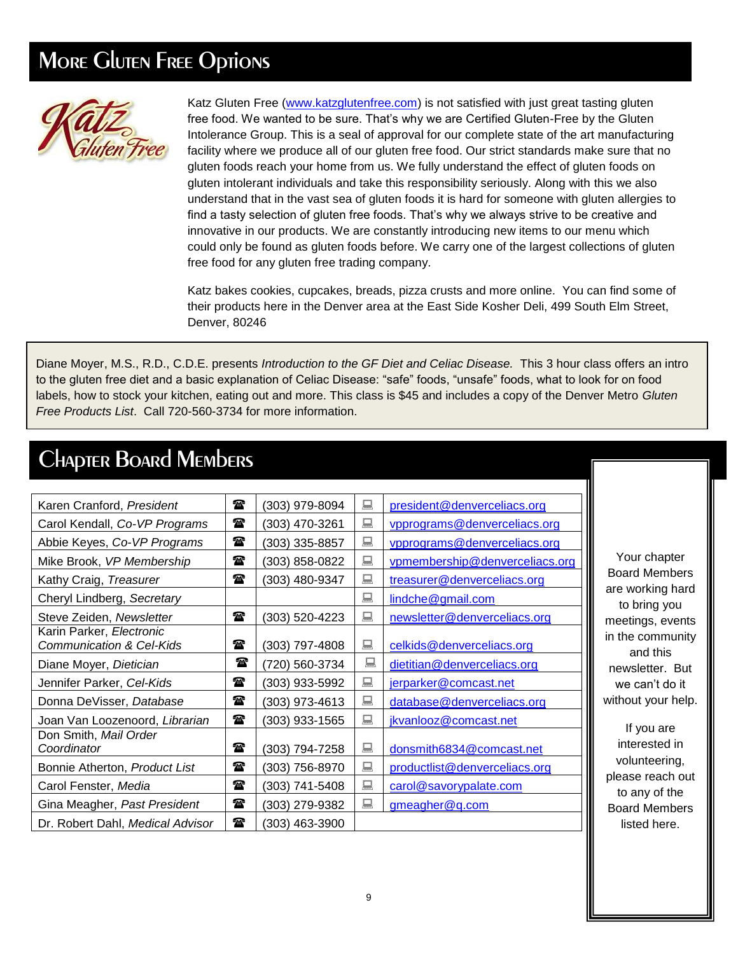## **MORE GIUTEN FREE Options**



Katz Gluten Free [\(www.katzglutenfree.com\)](http://www.katzglutenfree.com/) is not satisfied with just great tasting gluten free food. We wanted to be sure. That's why we are Certified Gluten-Free by the Gluten Intolerance Group. This is a seal of approval for our complete state of the art manufacturing facility where we produce all of our gluten free food. Our strict standards make sure that no gluten foods reach your home from us. We fully understand the effect of gluten foods on gluten intolerant individuals and take this responsibility seriously. Along with this we also understand that in the vast sea of gluten foods it is hard for someone with gluten allergies to find a tasty selection of gluten free foods. That's why we always strive to be creative and innovative in our products. We are constantly introducing new items to our menu which could only be found as gluten foods before. We carry one of the largest collections of gluten free food for any gluten free trading company.

Katz bakes cookies, cupcakes, breads, pizza crusts and more online. You can find some of their products here in the Denver area at the East Side Kosher Deli, 499 South Elm Street, Denver, 80246

Diane Moyer, M.S., R.D., C.D.E. presents *Introduction to the GF Diet and Celiac Disease.* This 3 hour class offers an intro to the gluten free diet and a basic explanation of Celiac Disease: "safe" foods, "unsafe" foods, what to look for on food labels, how to stock your kitchen, eating out and more. This class is \$45 and includes a copy of the Denver Metro *Gluten Free Products List*. Call 720-560-3734 for more information.

## Chapter Board Members

| Karen Cranford, President                                       | 雷            | (303) 979-8094 | 鳳 | president@denverceliacs.org    |
|-----------------------------------------------------------------|--------------|----------------|---|--------------------------------|
| Carol Kendall, Co-VP Programs                                   | ☎            | (303) 470-3261 | 鳳 | vpprograms@denverceliacs.org   |
| Abbie Keyes, Co-VP Programs                                     | $\mathbf{r}$ | (303) 335-8857 | 鳳 | vpprograms@denverceliacs.org   |
| Mike Brook, VP Membership                                       | t            | (303) 858-0822 | 鳳 | vpmembership@denverceliacs.org |
| Kathy Craig, Treasurer                                          | 雷            | (303) 480-9347 | 鳳 | treasurer@denverceliacs.org    |
| Cheryl Lindberg, Secretary                                      |              |                | 鳳 | lindche@gmail.com              |
| Steve Zeiden, Newsletter                                        | 雷            | (303) 520-4223 | 鳳 | newsletter@denverceliacs.org   |
| Karin Parker, Electronic<br><b>Communication &amp; Cel-Kids</b> | $\mathbf{r}$ | (303) 797-4808 | 鳳 | celkids@denverceliacs.org      |
| Diane Moyer, Dietician                                          | 雷            | (720) 560-3734 | 鳳 | dietitian@denverceliacs.org    |
| Jennifer Parker, Cel-Kids                                       | t            | (303) 933-5992 | 鳳 | jerparker@comcast.net          |
| Donna DeVisser, Database                                        | $\mathbf{r}$ | (303) 973-4613 | 鳳 | database@denverceliacs.org     |
| Joan Van Loozenoord, Librarian                                  | $\mathbf{r}$ | (303) 933-1565 | 鳳 | jkvanlooz@comcast.net          |
| Don Smith, Mail Order<br>Coordinator                            | $\mathbf{r}$ | (303) 794-7258 | 鳳 | donsmith6834@comcast.net       |
| Bonnie Atherton, Product List                                   | 雷            | (303) 756-8970 | 鳳 | productlist@denverceliacs.org  |
| Carol Fenster, Media                                            | $\mathbf{r}$ | (303) 741-5408 | 鳳 | carol@savorypalate.com         |
| Gina Meagher, Past President                                    | $\mathbf{r}$ | (303) 279-9382 | 鳳 | gmeagher@q.com                 |
| Dr. Robert Dahl, Medical Advisor                                | $\mathbf{r}$ | (303) 463-3900 |   |                                |

Your chapter Board Members are working hard to bring you meetings, events in the community and this newsletter. But we can't do it without your help.

If you are interested in volunteering, please reach out to any of the Board Members listed here.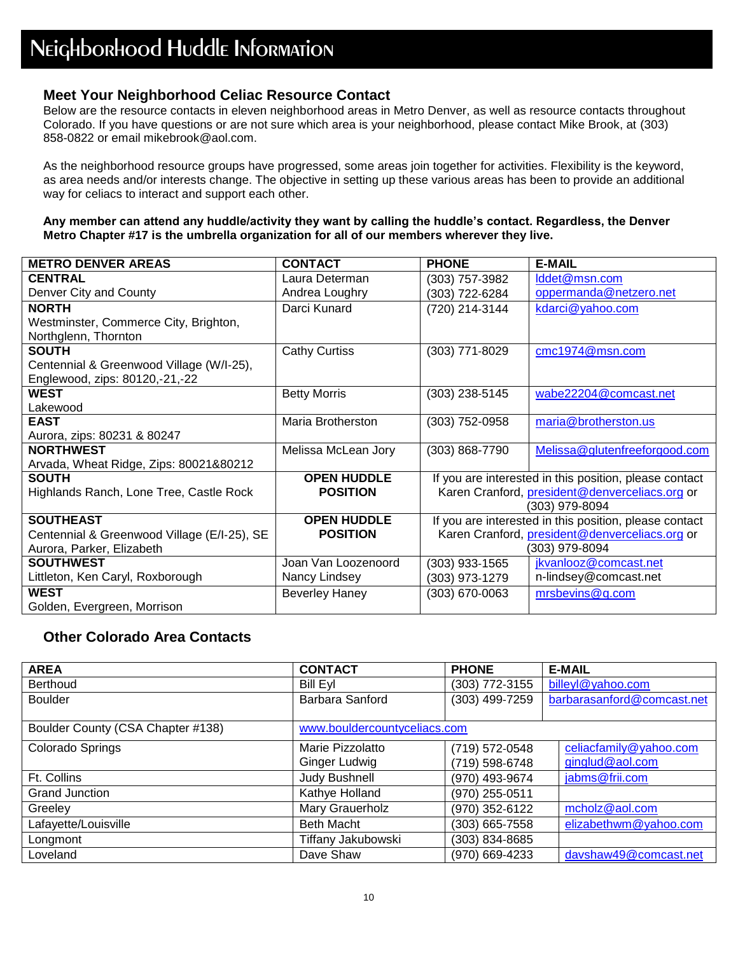#### **Meet Your Neighborhood Celiac Resource Contact**

Below are the resource contacts in eleven neighborhood areas in Metro Denver, as well as resource contacts throughout Colorado. If you have questions or are not sure which area is your neighborhood, please contact Mike Brook, at (303) 858-0822 or email mikebrook@aol.com.

As the neighborhood resource groups have progressed, some areas join together for activities. Flexibility is the keyword, as area needs and/or interests change. The objective in setting up these various areas has been to provide an additional way for celiacs to interact and support each other.

#### **Any member can attend any huddle/activity they want by calling the huddle's contact. Regardless, the Denver Metro Chapter #17 is the umbrella organization for all of our members wherever they live.**

| <b>METRO DENVER AREAS</b>                   | <b>CONTACT</b>        | <b>PHONE</b>   | <b>E-MAIL</b>                                          |
|---------------------------------------------|-----------------------|----------------|--------------------------------------------------------|
| <b>CENTRAL</b>                              | Laura Determan        | (303) 757-3982 | lddet@msn.com                                          |
| Denver City and County                      | Andrea Loughry        | (303) 722-6284 | oppermanda@netzero.net                                 |
| <b>NORTH</b>                                | Darci Kunard          | (720) 214-3144 | kdarci@yahoo.com                                       |
| Westminster, Commerce City, Brighton,       |                       |                |                                                        |
| Northglenn, Thornton                        |                       |                |                                                        |
| <b>SOUTH</b>                                | <b>Cathy Curtiss</b>  | (303) 771-8029 | cmc1974@msn.com                                        |
| Centennial & Greenwood Village (W/I-25),    |                       |                |                                                        |
| Englewood, zips: 80120,-21,-22              |                       |                |                                                        |
| <b>WEST</b>                                 | <b>Betty Morris</b>   | (303) 238-5145 | wabe22204@comcast.net                                  |
| Lakewood                                    |                       |                |                                                        |
| <b>EAST</b>                                 | Maria Brotherston     | (303) 752-0958 | maria@brotherston.us                                   |
| Aurora, zips: 80231 & 80247                 |                       |                |                                                        |
| <b>NORTHWEST</b>                            | Melissa McLean Jory   | (303) 868-7790 | Melissa@glutenfreeforgood.com                          |
| Arvada, Wheat Ridge, Zips: 80021&80212      |                       |                |                                                        |
| <b>SOUTH</b>                                | <b>OPEN HUDDLE</b>    |                | If you are interested in this position, please contact |
| Highlands Ranch, Lone Tree, Castle Rock     | <b>POSITION</b>       |                | Karen Cranford, president@denverceliacs.org or         |
|                                             |                       |                | (303) 979-8094                                         |
| <b>SOUTHEAST</b>                            | <b>OPEN HUDDLE</b>    |                | If you are interested in this position, please contact |
| Centennial & Greenwood Village (E/I-25), SE | <b>POSITION</b>       |                | Karen Cranford, president@denverceliacs.org or         |
| Aurora, Parker, Elizabeth                   |                       |                | (303) 979-8094                                         |
| <b>SOUTHWEST</b>                            | Joan Van Loozenoord   | (303) 933-1565 | jkvanlooz@comcast.net                                  |
| Littleton, Ken Caryl, Roxborough            | Nancy Lindsey         | (303) 973-1279 | n-lindsey@comcast.net                                  |
| <b>WEST</b>                                 | <b>Beverley Haney</b> | (303) 670-0063 | mrsbevins@q.com                                        |
| Golden, Evergreen, Morrison                 |                       |                |                                                        |

#### **Other Colorado Area Contacts**

| <b>AREA</b>                       | <b>CONTACT</b>               | <b>PHONE</b>   | <b>E-MAIL</b>              |
|-----------------------------------|------------------------------|----------------|----------------------------|
| Berthoud                          | <b>Bill Eyl</b>              | (303) 772-3155 | billeyl@yahoo.com          |
| <b>Boulder</b>                    | Barbara Sanford              | (303) 499-7259 | barbarasanford@comcast.net |
|                                   |                              |                |                            |
| Boulder County (CSA Chapter #138) | www.bouldercountyceliacs.com |                |                            |
| Colorado Springs                  | Marie Pizzolatto             | (719) 572-0548 | celiacfamily@yahoo.com     |
|                                   | <b>Ginger Ludwig</b>         | (719) 598-6748 | ginglud@aol.com            |
| Ft. Collins                       | Judy Bushnell                | (970) 493-9674 | jabms@frii.com             |
| Grand Junction                    | Kathye Holland               | (970) 255-0511 |                            |
| Greeley                           | Mary Grauerholz              | (970) 352-6122 | mcholz@aol.com             |
| Lafayette/Louisville              | <b>Beth Macht</b>            | (303) 665-7558 | elizabethwm@yahoo.com      |
| Longmont                          | Tiffany Jakubowski           | (303) 834-8685 |                            |
| Loveland                          | Dave Shaw                    | (970) 669-4233 | davshaw49@comcast.net      |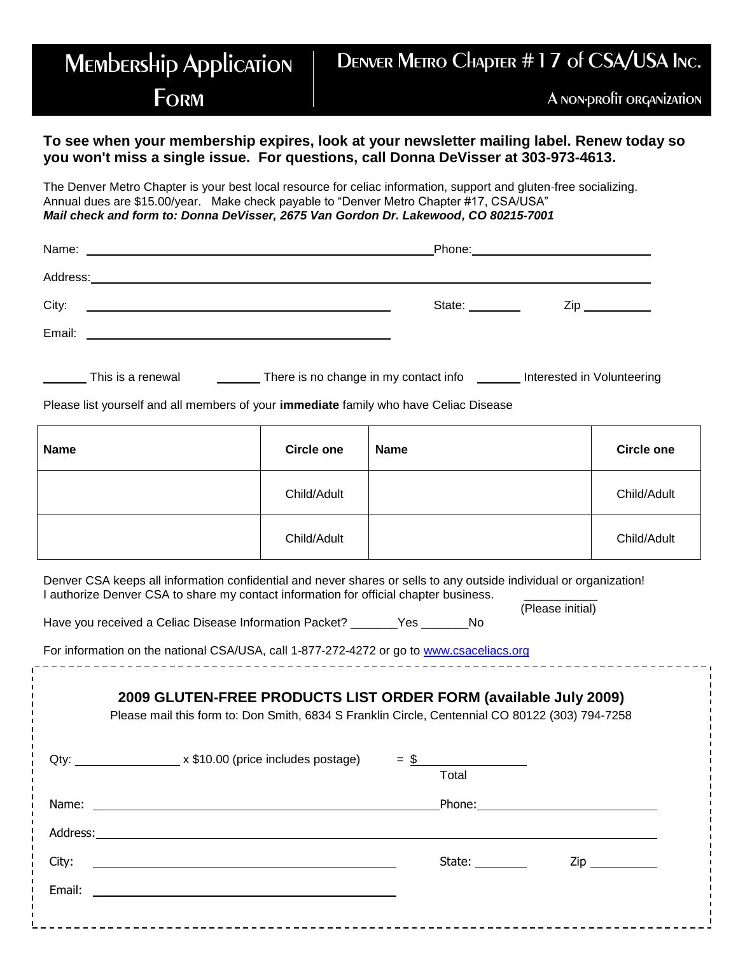### **MEMbERSHip Application FORM** Denver Metro Chapter #17 of CSA/USA Inc. A non-profit organization

#### **To see when your membership expires, look at your newsletter mailing label. Renew today so you won't miss a single issue. For questions, call Donna DeVisser at 303-973-4613.**

The Denver Metro Chapter is your best local resource for celiac information, support and gluten‐free socializing. Annual dues are \$15.00/year. Make check payable to "Denver Metro Chapter #17, CSA/USA" *Mail check and form to: Donna DeVisser, 2675 Van Gordon Dr. Lakewood, CO 80215‐7001*

| Name:<br><u> 1989 - Johann Harry Harry Harry Harry Harry Harry Harry Harry Harry Harry Harry Harry Harry Harry Harry Harry</u> |               |     |
|--------------------------------------------------------------------------------------------------------------------------------|---------------|-----|
| Address:<br><u> 1989 - Johann Stoff, amerikansk politiker (* 1908)</u>                                                         |               |     |
| City:<br><u> 1989 - Jan Samuel Barbara, martin da shekara tsara 1989 - An tsara 1989 - An tsara 1989 - An tsara 1989 - An</u>  | State: State: | Zip |
| Email:<br><u> 1989 - Andrea Barbara, poeta esperanto-poeta esperanto-poeta esperanto-poeta esperanto-poeta esperanto-poeta</u> |               |     |
|                                                                                                                                |               |     |

| There is no change in my contact info<br>Interested in Volunteering<br>This is a renewal |  |
|------------------------------------------------------------------------------------------|--|
|------------------------------------------------------------------------------------------|--|

Please list yourself and all members of your **immediate** family who have Celiac Disease

| <b>Name</b> | <b>Circle one</b> | <b>Name</b> | <b>Circle one</b> |
|-------------|-------------------|-------------|-------------------|
|             | Child/Adult       |             | Child/Adult       |
|             | Child/Adult       |             | Child/Adult       |

(Please initial)

Denver CSA keeps all information confidential and never shares or sells to any outside individual or organization! I authorize Denver CSA to share my contact information for official chapter business.

Have you received a Celiac Disease Information Packet? \_\_\_\_\_\_\_Yes \_\_\_\_\_\_\_No

For information on the national CSA/USA, call 1‐877‐272‐4272 or go to [www.csaceliacs.org](http://www.csaceliacs.org/)

| 2009 GLUTEN-FREE PRODUCTS LIST ORDER FORM (available July 2009)<br>Please mail this form to: Don Smith, 6834 S Franklin Circle, Centennial CO 80122 (303) 794-7258 |        |                     |
|--------------------------------------------------------------------------------------------------------------------------------------------------------------------|--------|---------------------|
| Qty: _________________________x \$10.00 (price includes postage) $=$ \$                                                                                            | Total  |                     |
|                                                                                                                                                                    |        |                     |
|                                                                                                                                                                    |        |                     |
| City:                                                                                                                                                              | State: | $\mathsf{Zip} \_\_$ |
| Email:<br><u> 1980 - John Stein, Amerikaansk politiker (</u>                                                                                                       |        |                     |